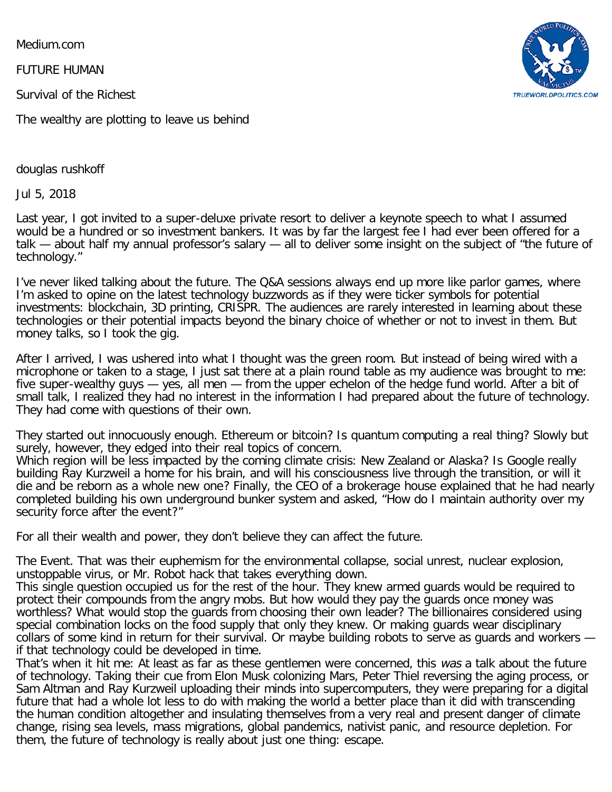Medium.com

FUTURE HUMAN

Survival of the Richest

[The wealthy are plotting to leave us behind](https://medium.com/s/futurehuman/survival-of-the-richest-9ef6cddd0cc1)



douglas rushkoff

Jul 5, 2018

Last year, I got invited to a super-deluxe private resort to deliver a keynote speech to what I assumed would be a hundred or so investment bankers. It was by far the largest fee I had ever been offered for a talk — about half my annual professor's salary — all to deliver some insight on the subject of "the future of technology."

I've never liked talking about the future. The Q&A sessions always end up more like parlor games, where I'm asked to opine on the latest technology buzzwords as if they were ticker symbols for potential investments: blockchain, 3D printing, CRISPR. The audiences are rarely interested in learning about these technologies or their potential impacts beyond the binary choice of whether or not to invest in them. But money talks, so I took the gig.

After I arrived, I was ushered into what I thought was the green room. But instead of being wired with a microphone or taken to a stage, I just sat there at a plain round table as my audience was brought to me: five super-wealthy guys — yes, all men — from the upper echelon of the hedge fund world. After a bit of small talk, I realized they had no interest in the information I had prepared about the future of technology. They had come with questions of their own.

They started out innocuously enough. Ethereum or bitcoin? Is quantum computing a real thing? Slowly but surely, however, they edged into their real topics of concern.

Which region will be less impacted by the coming climate crisis: New Zealand or Alaska? Is Google really building Ray Kurzweil a home for his brain, and will his consciousness live through the transition, or will it die and be reborn as a whole new one? Finally, the CEO of a brokerage house explained that he had nearly completed building his own underground bunker system and asked, "How do I maintain authority over my security force after the event?"

For all their wealth and power, they don't believe they can affect the future.

The Event. That was their euphemism for the environmental collapse, social unrest, nuclear explosion, unstoppable virus, or Mr. Robot hack that takes everything down.

This single question occupied us for the rest of the hour. They knew armed guards would be required to protect their compounds from the angry mobs. But how would they pay the guards once money was worthless? What would stop the guards from choosing their own leader? The billionaires considered using special combination locks on the food supply that only they knew. Or making guards wear disciplinary collars of some kind in return for their survival. Or maybe building robots to serve as guards and workers if that technology could be developed in time.

That's when it hit me: At least as far as these gentlemen were concerned, this was a talk about the future of technology. Taking their cue from Elon Musk colonizing Mars, Peter Thiel reversing the aging process, or Sam Altman and Ray Kurzweil uploading their minds into supercomputers, they were preparing for a digital future that had a whole lot less to do with making the world a better place than it did with transcending the human condition altogether and insulating themselves from a very real and present danger of climate change, rising sea levels, mass migrations, global pandemics, nativist panic, and resource depletion. For them, the future of technology is really about just one thing: escape.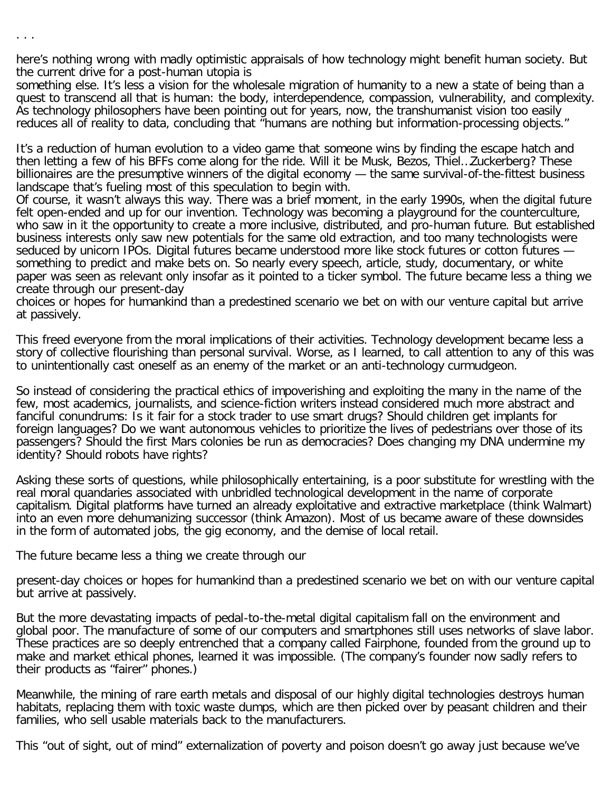here's nothing wrong with madly optimistic appraisals of how technology might benefit human society. But the current drive for a post-human utopia is

something else. It's less a vision for the wholesale migration of humanity to a new a state of being than a quest to transcend all that is human: the body, interdependence, compassion, vulnerability, and complexity. As technology philosophers have been pointing out for years, now, the transhumanist vision too easily reduces all of reality to data, concluding that "humans are nothing but information-processing objects."

It's a reduction of human evolution to a video game that someone wins by finding the escape hatch and then letting a few of his BFFs come along for the ride. Will it be Musk, Bezos, Thiel…Zuckerberg? These billionaires are the presumptive winners of the digital economy — the same survival-of-the-fittest business landscape that's fueling most of this speculation to begin with.

Of course, it wasn't always this way. There was a brief moment, in the early 1990s, when the digital future felt open-ended and up for our invention. Technology was becoming a playground for the counterculture, who saw in it the opportunity to create a more inclusive, distributed, and pro-human future. But established business interests only saw new potentials for the same old extraction, and too many technologists were seduced by unicorn IPOs. Digital futures became understood more like stock futures or cotton futures something to predict and make bets on. So nearly every speech, article, study, documentary, or white paper was seen as relevant only insofar as it pointed to a ticker symbol. The future became less a thing we create through our present-day

choices or hopes for humankind than a predestined scenario we bet on with our venture capital but arrive at passively.

This freed everyone from the moral implications of their activities. Technology development became less a story of collective flourishing than personal survival. Worse, as I learned, to call attention to any of this was to unintentionally cast oneself as an enemy of the market or an anti-technology curmudgeon.

So instead of considering the practical ethics of impoverishing and exploiting the many in the name of the few, most academics, journalists, and science-fiction writers instead considered much more abstract and fanciful conundrums: Is it fair for a stock trader to use smart drugs? Should children get implants for foreign languages? Do we want autonomous vehicles to prioritize the lives of pedestrians over those of its passengers? Should the first Mars colonies be run as democracies? Does changing my DNA undermine my identity? Should robots have rights?

Asking these sorts of questions, while philosophically entertaining, is a poor substitute for wrestling with the real moral quandaries associated with unbridled technological development in the name of corporate capitalism. Digital platforms have turned an already exploitative and extractive marketplace (think Walmart) into an even more dehumanizing successor (think Amazon). Most of us became aware of these downsides in the form of automated jobs, the gig economy, and the demise of local retail.

The future became less a thing we create through our

present-day choices or hopes for humankind than a predestined scenario we bet on with our venture capital but arrive at passively.

But the more devastating impacts of pedal-to-the-metal digital capitalism fall on the environment and global poor. The manufacture of some of our computers and smartphones still uses networks of slave labor. These practices are so deeply entrenched that a company called Fairphone, founded from the ground up to make and market ethical phones, learned it was impossible. (The company's founder now sadly refers to their products as "fairer" phones.)

Meanwhile, the mining of rare earth metals and disposal of our highly digital technologies destroys human habitats, replacing them with toxic waste dumps, which are then picked over by peasant children and their families, who sell usable materials back to the manufacturers.

This "out of sight, out of mind" externalization of poverty and poison doesn't go away just because we've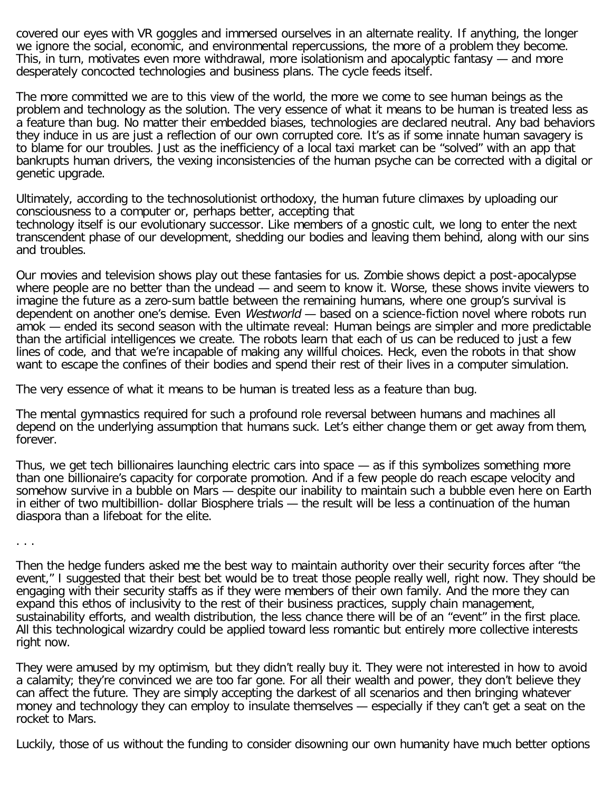covered our eyes with VR goggles and immersed ourselves in an alternate reality. If anything, the longer we ignore the social, economic, and environmental repercussions, the more of a problem they become. This, in turn, motivates even more withdrawal, more isolationism and apocalyptic fantasy — and more desperately concocted technologies and business plans. The cycle feeds itself.

The more committed we are to this view of the world, the more we come to see human beings as the problem and technology as the solution. The very essence of what it means to be human is treated less as a feature than bug. No matter their embedded biases, technologies are declared neutral. Any bad behaviors they induce in us are just a reflection of our own corrupted core. It's as if some innate human savagery is to blame for our troubles. Just as the inefficiency of a local taxi market can be "solved" with an app that bankrupts human drivers, the vexing inconsistencies of the human psyche can be corrected with a digital or genetic upgrade.

Ultimately, according to the technosolutionist orthodoxy, the human future climaxes by uploading our consciousness to a computer or, perhaps better, accepting that technology itself is our evolutionary successor. Like members of a gnostic cult, we long to enter the next transcendent phase of our development, shedding our bodies and leaving them behind, along with our sins and troubles.

Our movies and television shows play out these fantasies for us. Zombie shows depict a post-apocalypse where people are no better than the undead — and seem to know it. Worse, these shows invite viewers to imagine the future as a zero-sum battle between the remaining humans, where one group's survival is dependent on another one's demise. Even Westworld — based on a science-fiction novel where robots run amok — ended its second season with the ultimate reveal: Human beings are simpler and more predictable than the artificial intelligences we create. The robots learn that each of us can be reduced to just a few lines of code, and that we're incapable of making any willful choices. Heck, even the robots in that show want to escape the confines of their bodies and spend their rest of their lives in a computer simulation.

The very essence of what it means to be human is treated less as a feature than bug.

The mental gymnastics required for such a profound role reversal between humans and machines all depend on the underlying assumption that humans suck. Let's either change them or get away from them, forever.

Thus, we get tech billionaires launching electric cars into space — as if this symbolizes something more than one billionaire's capacity for corporate promotion. And if a few people do reach escape velocity and somehow survive in a bubble on Mars — despite our inability to maintain such a bubble even here on Earth in either of two multibillion- dollar Biosphere trials — the result will be less a continuation of the human diaspora than a lifeboat for the elite.

. . .

Then the hedge funders asked me the best way to maintain authority over their security forces after "the event," I suggested that their best bet would be to treat those people really well, right now. They should be engaging with their security staffs as if they were members of their own family. And the more they can expand this ethos of inclusivity to the rest of their business practices, supply chain management, sustainability efforts, and wealth distribution, the less chance there will be of an "event" in the first place. All this technological wizardry could be applied toward less romantic but entirely more collective interests right now.

They were amused by my optimism, but they didn't really buy it. They were not interested in how to avoid a calamity; they're convinced we are too far gone. For all their wealth and power, they don't believe they can affect the future. They are simply accepting the darkest of all scenarios and then bringing whatever money and technology they can employ to insulate themselves — especially if they can't get a seat on the rocket to Mars.

Luckily, those of us without the funding to consider disowning our own humanity have much better options